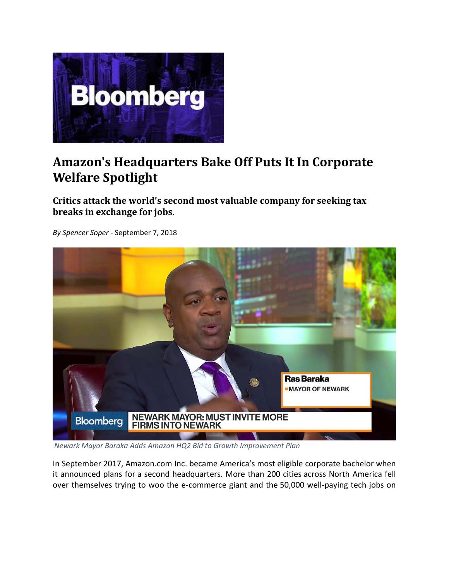

## **Amazon's Headquarters Bake Off Puts It In Corporate Welfare Spotlight**

**Critics attack the world's second most valuable company for seeking tax breaks in exchange for jobs**.



*By Spencer Soper ‐* September 7, 2018

*Newark Mayor Baraka Adds Amazon HQ2 Bid to Growth Improvement Plan*

In September 2017, Amazon.com Inc. became America's most eligible corporate bachelor when it announced plans for a second headquarters. More than 200 cities across North America fell over themselves trying to woo the e‐commerce giant and the 50,000 well‐paying tech jobs on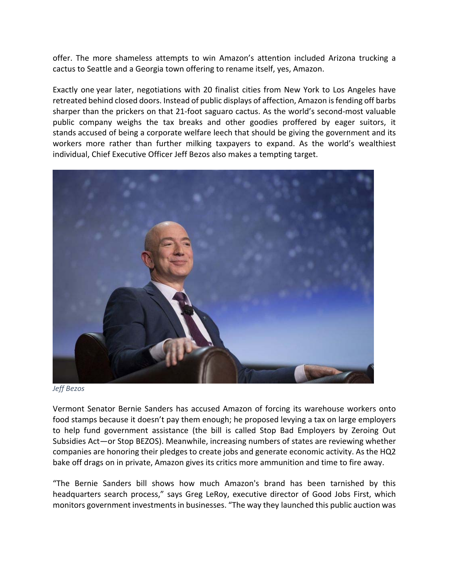offer. The more shameless attempts to win Amazon's attention included Arizona trucking a cactus to Seattle and a Georgia town offering to rename itself, yes, Amazon.

Exactly one year later, negotiations with 20 finalist cities from New York to Los Angeles have retreated behind closed doors. Instead of public displays of affection, Amazon is fending off barbs sharper than the prickers on that 21-foot saguaro cactus. As the world's second-most valuable public company weighs the tax breaks and other goodies proffered by eager suitors, it stands accused of being a corporate welfare leech that should be giving the government and its workers more rather than further milking taxpayers to expand. As the world's wealthiest individual, Chief Executive Officer Jeff Bezos also makes a tempting target.



*Jeff Bezos*

Vermont Senator Bernie Sanders has accused Amazon of forcing its warehouse workers onto food stamps because it doesn't pay them enough; he proposed levying a tax on large employers to help fund government assistance (the bill is called Stop Bad Employers by Zeroing Out Subsidies Act—or Stop BEZOS). Meanwhile, increasing numbers of states are reviewing whether companies are honoring their pledges to create jobs and generate economic activity. As the HQ2 bake off drags on in private, Amazon gives its critics more ammunition and time to fire away.

"The Bernie Sanders bill shows how much Amazon's brand has been tarnished by this headquarters search process," says Greg LeRoy, executive director of Good Jobs First, which monitors government investments in businesses. "The way they launched this public auction was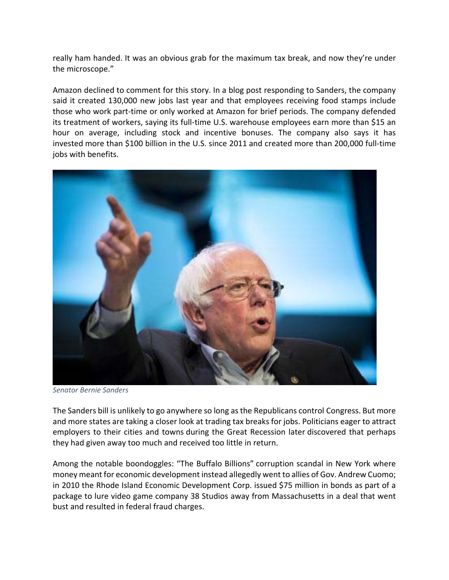really ham handed. It was an obvious grab for the maximum tax break, and now they're under the microscope."

Amazon declined to comment for this story. In a blog post responding to Sanders, the company said it created 130,000 new jobs last year and that employees receiving food stamps include those who work part‐time or only worked at Amazon for brief periods. The company defended its treatment of workers, saying its full‐time U.S. warehouse employees earn more than \$15 an hour on average, including stock and incentive bonuses. The company also says it has invested more than \$100 billion in the U.S. since 2011 and created more than 200,000 full‐time jobs with benefits.



*Senator Bernie Sanders*

The Sanders bill is unlikely to go anywhere so long asthe Republicans control Congress. But more and more states are taking a closer look at trading tax breaks for jobs. Politicians eager to attract employers to their cities and towns during the Great Recession later discovered that perhaps they had given away too much and received too little in return.

Among the notable boondoggles: "The Buffalo Billions" corruption scandal in New York where money meant for economic development instead allegedly went to allies of Gov. Andrew Cuomo; in 2010 the Rhode Island Economic Development Corp. issued \$75 million in bonds as part of a package to lure video game company 38 Studios away from Massachusetts in a deal that went bust and resulted in federal fraud charges.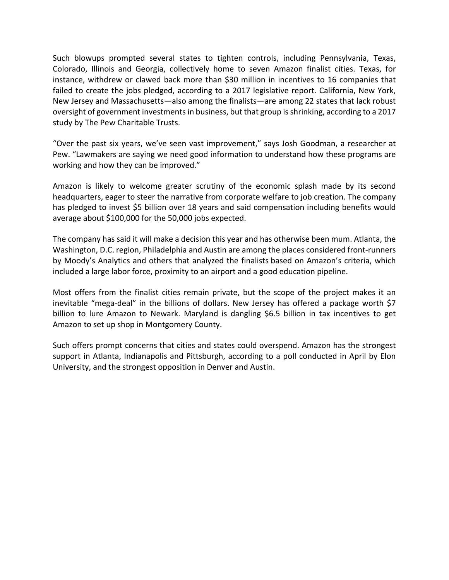Such blowups prompted several states to tighten controls, including Pennsylvania, Texas, Colorado, Illinois and Georgia, collectively home to seven Amazon finalist cities. Texas, for instance, withdrew or clawed back more than \$30 million in incentives to 16 companies that failed to create the jobs pledged, according to a 2017 legislative report. California, New York, New Jersey and Massachusetts—also among the finalists—are among 22 states that lack robust oversight of government investmentsin business, but that group isshrinking, according to a 2017 study by The Pew Charitable Trusts.

"Over the past six years, we've seen vast improvement," says Josh Goodman, a researcher at Pew. "Lawmakers are saying we need good information to understand how these programs are working and how they can be improved."

Amazon is likely to welcome greater scrutiny of the economic splash made by its second headquarters, eager to steer the narrative from corporate welfare to job creation. The company has pledged to invest \$5 billion over 18 years and said compensation including benefits would average about \$100,000 for the 50,000 jobs expected.

The company has said it will make a decision this year and has otherwise been mum. Atlanta, the Washington, D.C. region, Philadelphia and Austin are among the places considered front‐runners by Moody's Analytics and others that analyzed the finalists based on Amazon's criteria, which included a large labor force, proximity to an airport and a good education pipeline.

Most offers from the finalist cities remain private, but the scope of the project makes it an inevitable "mega‐deal" in the billions of dollars. New Jersey has offered a package worth \$7 billion to lure Amazon to Newark. Maryland is dangling \$6.5 billion in tax incentives to get Amazon to set up shop in Montgomery County.

Such offers prompt concerns that cities and states could overspend. Amazon has the strongest support in Atlanta, Indianapolis and Pittsburgh, according to a poll conducted in April by Elon University, and the strongest opposition in Denver and Austin.